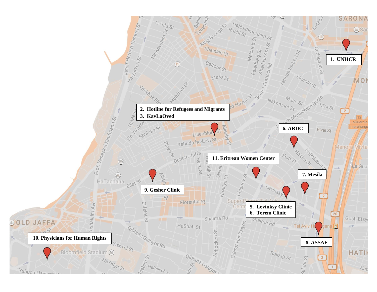